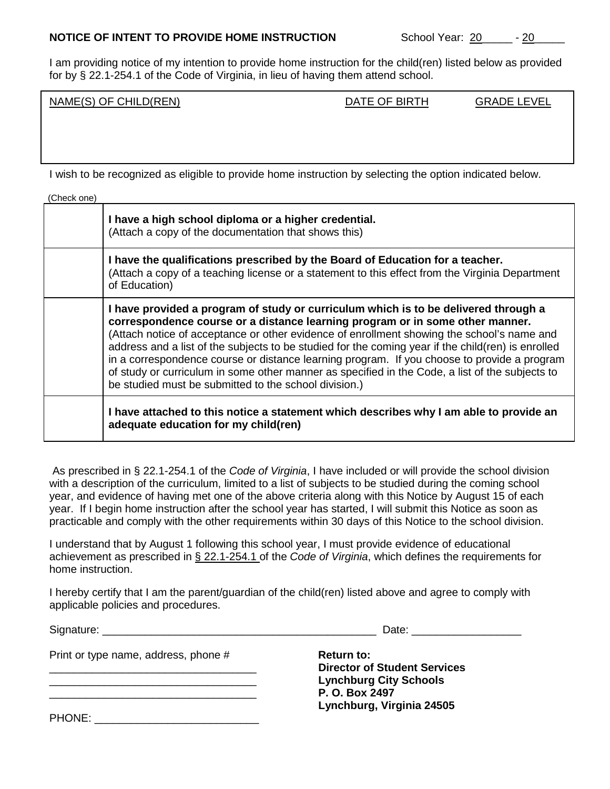## **NOTICE OF INTENT TO PROVIDE HOME INSTRUCTION** School Year: 20\_\_\_\_\_\_\_- 20\_

I am providing notice of my intention to provide home instruction for the child(ren) listed below as provided for by § 22.1-254.1 of the Code of Virginia, in lieu of having them attend school.

|                                          |                                  | ^ ^                                                       |
|------------------------------------------|----------------------------------|-----------------------------------------------------------|
| NH.<br><b>NAME</b><br>ጋ(REN)<br>$(S)$ OF | <b>RIRTH</b><br>JA.<br>٦Н<br>. ⊢ | <b>EVEL</b><br>⊣רי<br>GR<br>$\overline{\phantom{a}}$<br>៶ |
|                                          |                                  |                                                           |

I wish to be recognized as eligible to provide home instruction by selecting the option indicated below.

| (Check one) |                                                                                                                                                                                                                                                                                                                                                                                                                                                                                                                                                                                                                                     |
|-------------|-------------------------------------------------------------------------------------------------------------------------------------------------------------------------------------------------------------------------------------------------------------------------------------------------------------------------------------------------------------------------------------------------------------------------------------------------------------------------------------------------------------------------------------------------------------------------------------------------------------------------------------|
|             | I have a high school diploma or a higher credential.<br>(Attach a copy of the documentation that shows this)                                                                                                                                                                                                                                                                                                                                                                                                                                                                                                                        |
|             | I have the qualifications prescribed by the Board of Education for a teacher.<br>(Attach a copy of a teaching license or a statement to this effect from the Virginia Department<br>of Education)                                                                                                                                                                                                                                                                                                                                                                                                                                   |
|             | I have provided a program of study or curriculum which is to be delivered through a<br>correspondence course or a distance learning program or in some other manner.<br>(Attach notice of acceptance or other evidence of enrollment showing the school's name and<br>address and a list of the subjects to be studied for the coming year if the child(ren) is enrolled<br>in a correspondence course or distance learning program. If you choose to provide a program<br>of study or curriculum in some other manner as specified in the Code, a list of the subjects to<br>be studied must be submitted to the school division.) |
|             | I have attached to this notice a statement which describes why I am able to provide an<br>adequate education for my child(ren)                                                                                                                                                                                                                                                                                                                                                                                                                                                                                                      |

As prescribed in § 22.1-254.1 of the *Code of Virginia*, I have included or will provide the school division with a description of the curriculum, limited to a list of subjects to be studied during the coming school year, and evidence of having met one of the above criteria along with this Notice by August 15 of each year. If I begin home instruction after the school year has started, I will submit this Notice as soon as practicable and comply with the other requirements within 30 days of this Notice to the school division.

I understand that by August 1 following this school year, I must provide evidence of educational achievement as prescribed in § 22.1-254.1 of the *Code of Virginia*, which defines the requirements for home instruction.

I hereby certify that I am the parent/guardian of the child(ren) listed above and agree to comply with applicable policies and procedures.

Signature: \_\_\_\_\_\_\_\_\_\_\_\_\_\_\_\_\_\_\_\_\_\_\_\_\_\_\_\_\_\_\_\_\_\_\_\_\_\_\_\_\_\_\_\_\_ Date: \_\_\_\_\_\_\_\_\_\_\_\_\_\_\_\_\_\_

| Print or type name, address, phone # | <b>Return to:</b>                   |
|--------------------------------------|-------------------------------------|
|                                      | <b>Director of Student Services</b> |
|                                      | <b>Lynchburg City Schools</b>       |
|                                      | P. O. Box 2497                      |
|                                      | Lynchburg, Virginia 24505           |
| <b>PHONE:</b>                        |                                     |